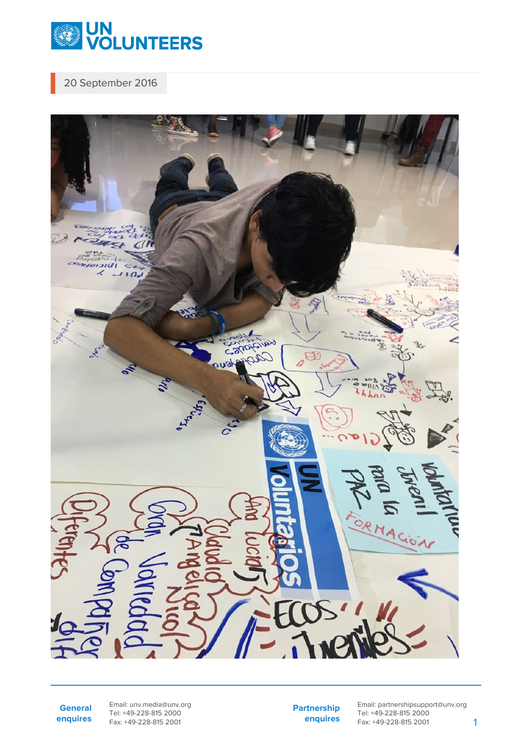

20 September 2016



**General enquires** Email: unv.media@unv.org Tel: +49-228-815 2000 Fax: +49-228-815 2001

**Partnership enquires** Email: partnershipsupport@unv.org Tel: +49-228-815 2000 Fax: +49-228-815 2001 1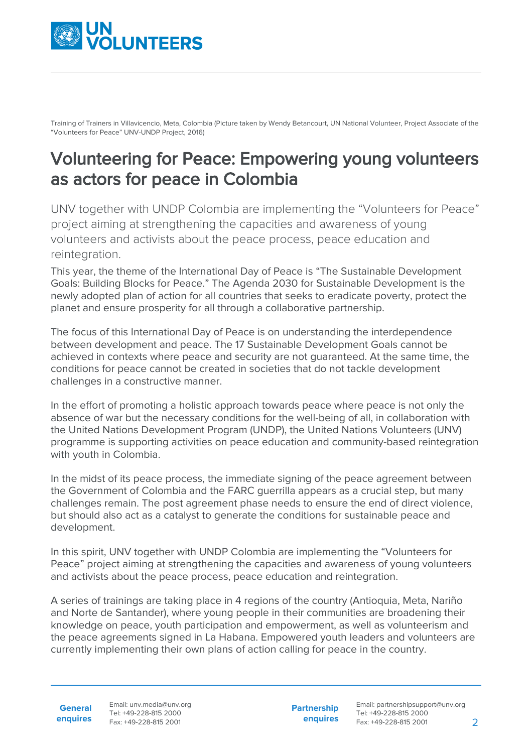

Training of Trainers in Villavicencio, Meta, Colombia (Picture taken by Wendy Betancourt, UN National Volunteer, Project Associate of the "Volunteers for Peace" UNV-UNDP Project, 2016)

## Volunteering for Peace: Empowering young volunteers as actors for peace in Colombia

UNV together with UNDP Colombia are implementing the "Volunteers for Peace" project aiming at strengthening the capacities and awareness of young volunteers and activists about the peace process, peace education and reintegration.

This year, the theme of the International Day of Peace is "The Sustainable Development Goals: Building Blocks for Peace." The Agenda 2030 for Sustainable Development is the newly adopted plan of action for all countries that seeks to eradicate poverty, protect the planet and ensure prosperity for all through a collaborative partnership.

The focus of this International Day of Peace is on understanding the interdependence between development and peace. The 17 Sustainable Development Goals cannot be achieved in contexts where peace and security are not guaranteed. At the same time, the conditions for peace cannot be created in societies that do not tackle development challenges in a constructive manner.

In the effort of promoting a holistic approach towards peace where peace is not only the absence of war but the necessary conditions for the well-being of all, in collaboration with the United Nations Development Program (UNDP), the United Nations Volunteers (UNV) programme is supporting activities on peace education and community-based reintegration with youth in Colombia.

In the midst of its peace process, the immediate signing of the peace agreement between the Government of Colombia and the FARC guerrilla appears as a crucial step, but many challenges remain. The post agreement phase needs to ensure the end of direct violence, but should also act as a catalyst to generate the conditions for sustainable peace and development.

In this spirit, UNV together with UNDP Colombia are implementing the "Volunteers for Peace" project aiming at strengthening the capacities and awareness of young volunteers and activists about the peace process, peace education and reintegration.

A series of trainings are taking place in 4 regions of the country (Antioquia, Meta, Nariño and Norte de Santander), where young people in their communities are broadening their knowledge on peace, youth participation and empowerment, as well as volunteerism and the peace agreements signed in La Habana. Empowered youth leaders and volunteers are currently implementing their own plans of action calling for peace in the country.

**General enquires** Email: unv.media@unv.org Tel: +49-228-815 2000 Fax: +49-228-815 2001

**Partnership enquires**

Email: partnershipsupport@unv.org Tel: +49-228-815 2000 Fax: +49-228-815 2001 2